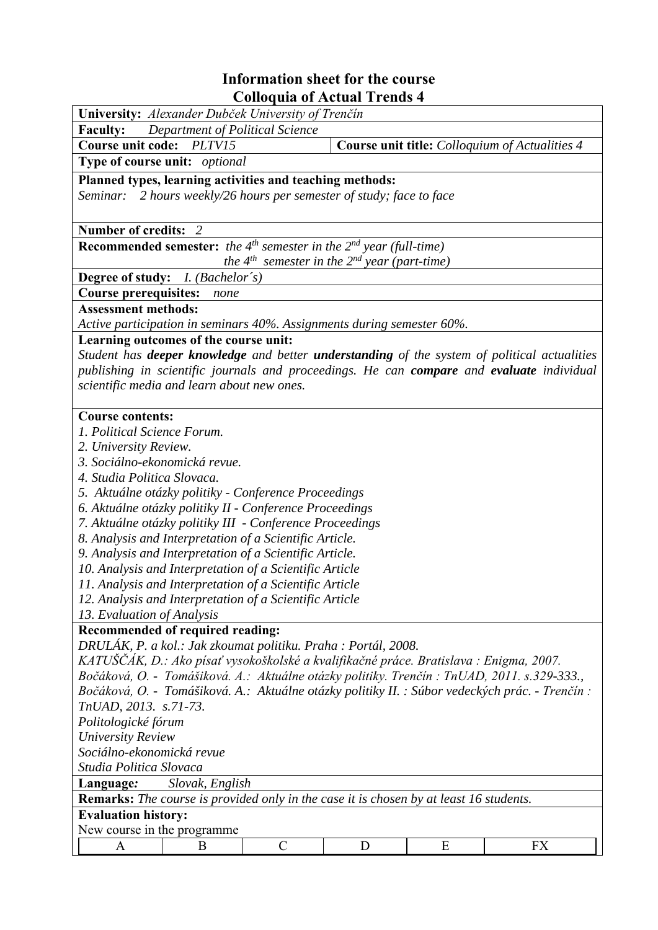## **Information sheet for the course Colloquia of Actual Trends 4**

| Colloquia of Actual Trends 4                                                                                                                                                                            |               |   |   |                                                |  |  |  |  |
|---------------------------------------------------------------------------------------------------------------------------------------------------------------------------------------------------------|---------------|---|---|------------------------------------------------|--|--|--|--|
| University: Alexander Dubček University of Trenčín                                                                                                                                                      |               |   |   |                                                |  |  |  |  |
| <b>Faculty:</b><br><b>Department of Political Science</b>                                                                                                                                               |               |   |   |                                                |  |  |  |  |
| Course unit code:<br>PLTV15                                                                                                                                                                             |               |   |   | Course unit title: Colloquium of Actualities 4 |  |  |  |  |
| Type of course unit: optional                                                                                                                                                                           |               |   |   |                                                |  |  |  |  |
| Planned types, learning activities and teaching methods:                                                                                                                                                |               |   |   |                                                |  |  |  |  |
| Seminar: 2 hours weekly/26 hours per semester of study; face to face                                                                                                                                    |               |   |   |                                                |  |  |  |  |
|                                                                                                                                                                                                         |               |   |   |                                                |  |  |  |  |
| Number of credits: 2                                                                                                                                                                                    |               |   |   |                                                |  |  |  |  |
|                                                                                                                                                                                                         |               |   |   |                                                |  |  |  |  |
| <b>Recommended semester:</b> the $4^{th}$ semester in the $2^{nd}$ year (full-time)<br>the $4^{th}$ semester in the $2^{nd}$ year (part-time)                                                           |               |   |   |                                                |  |  |  |  |
| <b>Degree of study:</b> <i>I. (Bachelor's)</i>                                                                                                                                                          |               |   |   |                                                |  |  |  |  |
|                                                                                                                                                                                                         |               |   |   |                                                |  |  |  |  |
| <b>Course prerequisites:</b><br>none                                                                                                                                                                    |               |   |   |                                                |  |  |  |  |
| <b>Assessment methods:</b>                                                                                                                                                                              |               |   |   |                                                |  |  |  |  |
| Active participation in seminars 40%. Assignments during semester 60%.                                                                                                                                  |               |   |   |                                                |  |  |  |  |
| Learning outcomes of the course unit:                                                                                                                                                                   |               |   |   |                                                |  |  |  |  |
| Student has <b>deeper knowledge</b> and better <b>understanding</b> of the system of political actualities<br>publishing in scientific journals and proceedings. He can compare and evaluate individual |               |   |   |                                                |  |  |  |  |
|                                                                                                                                                                                                         |               |   |   |                                                |  |  |  |  |
| scientific media and learn about new ones.                                                                                                                                                              |               |   |   |                                                |  |  |  |  |
| <b>Course contents:</b>                                                                                                                                                                                 |               |   |   |                                                |  |  |  |  |
| 1. Political Science Forum.                                                                                                                                                                             |               |   |   |                                                |  |  |  |  |
|                                                                                                                                                                                                         |               |   |   |                                                |  |  |  |  |
| 2. University Review.                                                                                                                                                                                   |               |   |   |                                                |  |  |  |  |
| 3. Sociálno-ekonomická revue.<br>4. Studia Politica Slovaca.                                                                                                                                            |               |   |   |                                                |  |  |  |  |
|                                                                                                                                                                                                         |               |   |   |                                                |  |  |  |  |
| 5. Aktuálne otázky politiky - Conference Proceedings<br>6. Aktuálne otázky politiky II - Conference Proceedings                                                                                         |               |   |   |                                                |  |  |  |  |
| 7. Aktuálne otázky politiky III - Conference Proceedings                                                                                                                                                |               |   |   |                                                |  |  |  |  |
| 8. Analysis and Interpretation of a Scientific Article.                                                                                                                                                 |               |   |   |                                                |  |  |  |  |
| 9. Analysis and Interpretation of a Scientific Article.                                                                                                                                                 |               |   |   |                                                |  |  |  |  |
| 10. Analysis and Interpretation of a Scientific Article                                                                                                                                                 |               |   |   |                                                |  |  |  |  |
| 11. Analysis and Interpretation of a Scientific Article                                                                                                                                                 |               |   |   |                                                |  |  |  |  |
| 12. Analysis and Interpretation of a Scientific Article                                                                                                                                                 |               |   |   |                                                |  |  |  |  |
| 13. Evaluation of Analysis                                                                                                                                                                              |               |   |   |                                                |  |  |  |  |
| Recommended of required reading:                                                                                                                                                                        |               |   |   |                                                |  |  |  |  |
| DRULÁK, P. a kol.: Jak zkoumat politiku. Praha : Portál, 2008.                                                                                                                                          |               |   |   |                                                |  |  |  |  |
| KATUŠČÁK, D.: Ako písať vysokoškolské a kvalifikačné práce. Bratislava : Enigma, 2007.                                                                                                                  |               |   |   |                                                |  |  |  |  |
| Bočáková, O. - Tomášiková. A.: Aktuálne otázky politiky. Trenčín: TnUAD, 2011. s.329-333.,                                                                                                              |               |   |   |                                                |  |  |  |  |
| Bočáková, O. - Tomášiková. A.: Aktuálne otázky politiky II. : Súbor vedeckých prác. - Trenčín :                                                                                                         |               |   |   |                                                |  |  |  |  |
| TnUAD, 2013. s.71-73.                                                                                                                                                                                   |               |   |   |                                                |  |  |  |  |
| Politologické fórum                                                                                                                                                                                     |               |   |   |                                                |  |  |  |  |
| <b>University Review</b>                                                                                                                                                                                |               |   |   |                                                |  |  |  |  |
| Sociálno-ekonomická revue                                                                                                                                                                               |               |   |   |                                                |  |  |  |  |
| Studia Politica Slovaca                                                                                                                                                                                 |               |   |   |                                                |  |  |  |  |
| Slovak, English<br>Language:                                                                                                                                                                            |               |   |   |                                                |  |  |  |  |
| <b>Remarks:</b> The course is provided only in the case it is chosen by at least 16 students.                                                                                                           |               |   |   |                                                |  |  |  |  |
| <b>Evaluation history:</b>                                                                                                                                                                              |               |   |   |                                                |  |  |  |  |
| New course in the programme.                                                                                                                                                                            |               |   |   |                                                |  |  |  |  |
| A<br>B                                                                                                                                                                                                  | $\mathcal{C}$ | D | E | <b>FX</b>                                      |  |  |  |  |